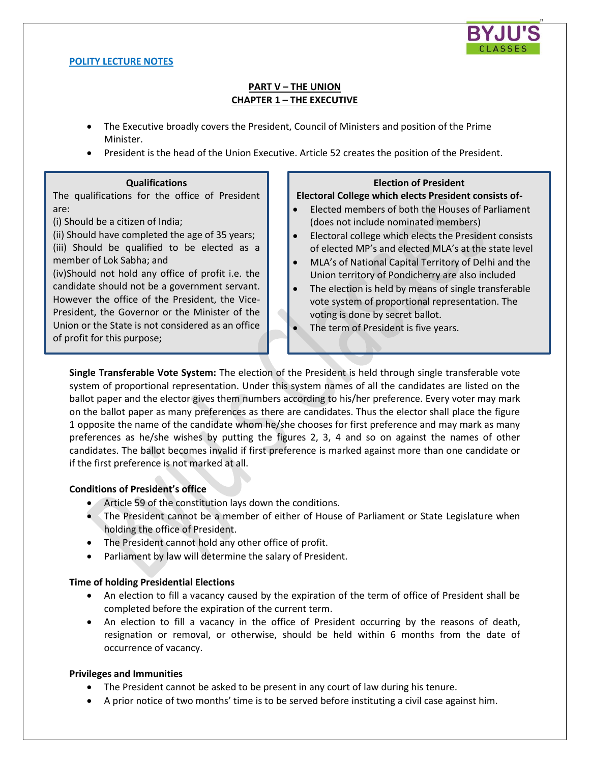

### **POLITY LECTURE NOTES**

# **PART V – THE UNION CHAPTER 1 – THE EXECUTIVE**

- The Executive broadly covers the President, Council of Ministers and position of the Prime Minister.
- President is the head of the Union Executive. Article 52 creates the position of the President.

#### **Qualifications**

The qualifications for the office of President are:

(i) Should be a citizen of India;

(ii) Should have completed the age of 35 years; (iii) Should be qualified to be elected as a member of Lok Sabha; and

(iv)Should not hold any office of profit i.e. the candidate should not be a government servant. However the office of the President, the Vice-President, the Governor or the Minister of the Union or the State is not considered as an office of profit for this purpose;

### **Election of President**

## **Electoral College which elects President consists of-**

- Elected members of both the Houses of Parliament (does not include nominated members)
- Electoral college which elects the President consists of elected MP's and elected MLA's at the state level
- MLA's of National Capital Territory of Delhi and the Union territory of Pondicherry are also included
- The election is held by means of single transferable vote system of proportional representation. The voting is done by secret ballot.
- The term of President is five years.

**Single Transferable Vote System:** The election of the President is held through single transferable vote system of proportional representation. Under this system names of all the candidates are listed on the ballot paper and the elector gives them numbers according to his/her preference. Every voter may mark on the ballot paper as many preferences as there are candidates. Thus the elector shall place the figure 1 opposite the name of the candidate whom he/she chooses for first preference and may mark as many preferences as he/she wishes by putting the figures 2, 3, 4 and so on against the names of other candidates. The ballot becomes invalid if first preference is marked against more than one candidate or if the first preference is not marked at all.

## **Conditions of President's office**

- Article 59 of the constitution lays down the conditions.
- The President cannot be a member of either of House of Parliament or State Legislature when holding the office of President.
- The President cannot hold any other office of profit.
- Parliament by law will determine the salary of President.

## **Time of holding Presidential Elections**

- An election to fill a vacancy caused by the expiration of the term of office of President shall be completed before the expiration of the current term.
- An election to fill a vacancy in the office of President occurring by the reasons of death, resignation or removal, or otherwise, should be held within 6 months from the date of occurrence of vacancy.

## **Privileges and Immunities**

- The President cannot be asked to be present in any court of law during his tenure.
- A prior notice of two months' time is to be served before instituting a civil case against him.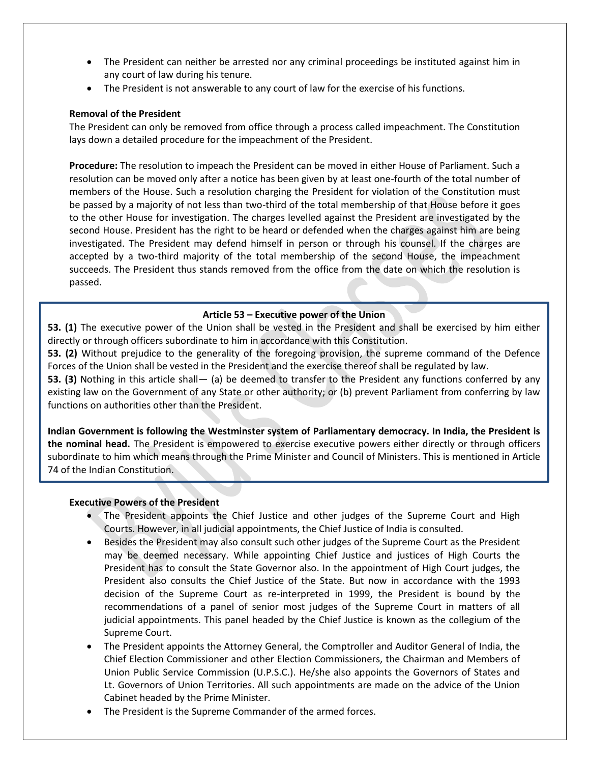- The President can neither be arrested nor any criminal proceedings be instituted against him in any court of law during his tenure.
- The President is not answerable to any court of law for the exercise of his functions.

## **Removal of the President**

The President can only be removed from office through a process called impeachment. The Constitution lays down a detailed procedure for the impeachment of the President.

**Procedure:** The resolution to impeach the President can be moved in either House of Parliament. Such a resolution can be moved only after a notice has been given by at least one-fourth of the total number of members of the House. Such a resolution charging the President for violation of the Constitution must be passed by a majority of not less than two-third of the total membership of that House before it goes to the other House for investigation. The charges levelled against the President are investigated by the second House. President has the right to be heard or defended when the charges against him are being investigated. The President may defend himself in person or through his counsel. If the charges are accepted by a two-third majority of the total membership of the second House, the impeachment succeeds. The President thus stands removed from the office from the date on which the resolution is passed.

# **Article 53 – Executive power of the Union**

**53. (1)** The executive power of the Union shall be vested in the President and shall be exercised by him either directly or through officers subordinate to him in accordance with this Constitution.

**53. (2)** Without prejudice to the generality of the foregoing provision, the supreme command of the Defence Forces of the Union shall be vested in the President and the exercise thereof shall be regulated by law.

**53. (3)** Nothing in this article shall— (a) be deemed to transfer to the President any functions conferred by any existing law on the Government of any State or other authority; or (b) prevent Parliament from conferring by law functions on authorities other than the President.

**Indian Government is following the Westminster system of Parliamentary democracy. In India, the President is the nominal head.** The President is empowered to exercise executive powers either directly or through officers subordinate to him which means through the Prime Minister and Council of Ministers. This is mentioned in Article 74 of the Indian Constitution.

## **Executive Powers of the President**

- The President appoints the Chief Justice and other judges of the Supreme Court and High Courts. However, in all judicial appointments, the Chief Justice of India is consulted.
- Besides the President may also consult such other judges of the Supreme Court as the President may be deemed necessary. While appointing Chief Justice and justices of High Courts the President has to consult the State Governor also. In the appointment of High Court judges, the President also consults the Chief Justice of the State. But now in accordance with the 1993 decision of the Supreme Court as re-interpreted in 1999, the President is bound by the recommendations of a panel of senior most judges of the Supreme Court in matters of all judicial appointments. This panel headed by the Chief Justice is known as the collegium of the Supreme Court.
- The President appoints the Attorney General, the Comptroller and Auditor General of India, the Chief Election Commissioner and other Election Commissioners, the Chairman and Members of Union Public Service Commission (U.P.S.C.). He/she also appoints the Governors of States and Lt. Governors of Union Territories. All such appointments are made on the advice of the Union Cabinet headed by the Prime Minister.
- The President is the Supreme Commander of the armed forces.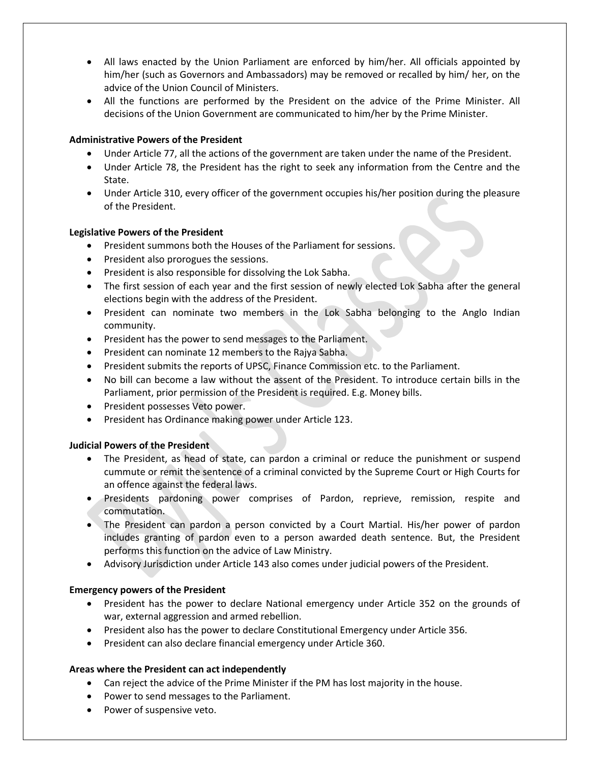- All laws enacted by the Union Parliament are enforced by him/her. All officials appointed by him/her (such as Governors and Ambassadors) may be removed or recalled by him/ her, on the advice of the Union Council of Ministers.
- All the functions are performed by the President on the advice of the Prime Minister. All decisions of the Union Government are communicated to him/her by the Prime Minister.

# **Administrative Powers of the President**

- Under Article 77, all the actions of the government are taken under the name of the President.
- Under Article 78, the President has the right to seek any information from the Centre and the State.
- Under Article 310, every officer of the government occupies his/her position during the pleasure of the President.

# **Legislative Powers of the President**

- President summons both the Houses of the Parliament for sessions.
- President also prorogues the sessions.
- President is also responsible for dissolving the Lok Sabha.
- The first session of each year and the first session of newly elected Lok Sabha after the general elections begin with the address of the President.
- President can nominate two members in the Lok Sabha belonging to the Anglo Indian community.
- President has the power to send messages to the Parliament.
- President can nominate 12 members to the Rajya Sabha.
- President submits the reports of UPSC, Finance Commission etc. to the Parliament.
- No bill can become a law without the assent of the President. To introduce certain bills in the Parliament, prior permission of the President is required. E.g. Money bills.
- President possesses Veto power.
- **•** President has Ordinance making power under Article 123.

## **Judicial Powers of the President**

- The President, as head of state, can pardon a criminal or reduce the punishment or suspend cummute or remit the sentence of a criminal convicted by the Supreme Court or High Courts for an offence against the federal laws.
- Presidents pardoning power comprises of Pardon, reprieve, remission, respite and commutation.
- The President can pardon a person convicted by a Court Martial. His/her power of pardon includes granting of pardon even to a person awarded death sentence. But, the President performs this function on the advice of Law Ministry.
- Advisory Jurisdiction under Article 143 also comes under judicial powers of the President.

## **Emergency powers of the President**

- President has the power to declare National emergency under Article 352 on the grounds of war, external aggression and armed rebellion.
- President also has the power to declare Constitutional Emergency under Article 356.
- President can also declare financial emergency under Article 360.

## **Areas where the President can act independently**

- Can reject the advice of the Prime Minister if the PM has lost majority in the house.
- Power to send messages to the Parliament.
- Power of suspensive veto.